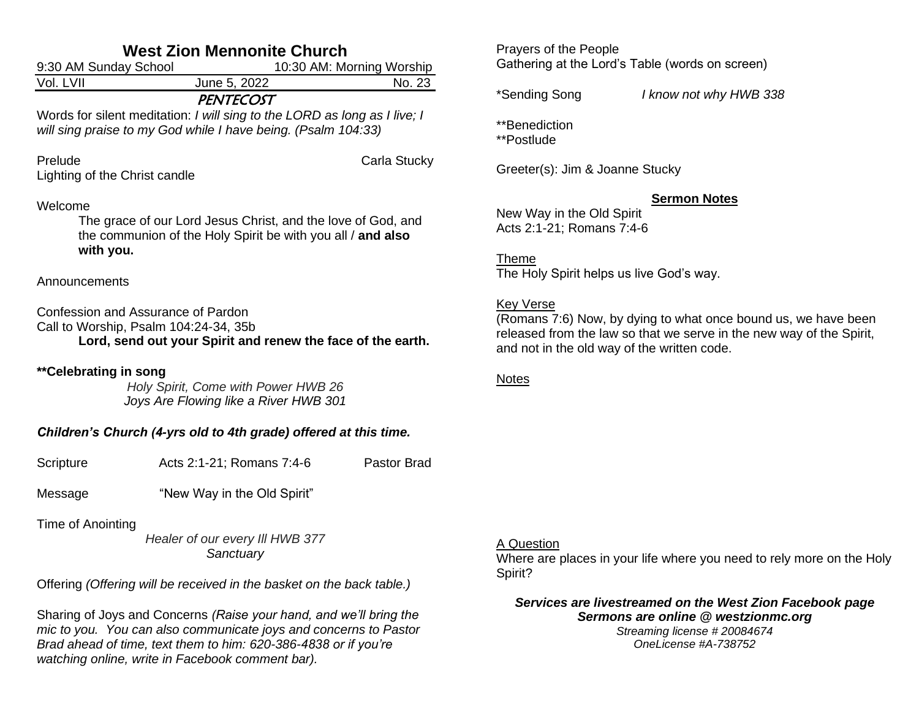| <b>West Zion Mennonite Church</b>                                |                                                                                                                                                                                                                                                               |              |  |  |
|------------------------------------------------------------------|---------------------------------------------------------------------------------------------------------------------------------------------------------------------------------------------------------------------------------------------------------------|--------------|--|--|
| 9:30 AM Sunday School<br>10:30 AM: Morning Worship               |                                                                                                                                                                                                                                                               |              |  |  |
| Vol. LVII                                                        | June 5, 2022                                                                                                                                                                                                                                                  | No. 23       |  |  |
|                                                                  | <b>PENTECOST</b><br>Words for silent meditation: I will sing to the LORD as long as I live; I<br>will sing praise to my God while I have being. (Psalm 104:33)                                                                                                |              |  |  |
| Prelude<br>Lighting of the Christ candle                         |                                                                                                                                                                                                                                                               | Carla Stucky |  |  |
| Welcome<br>with you.                                             | The grace of our Lord Jesus Christ, and the love of God, and<br>the communion of the Holy Spirit be with you all / and also                                                                                                                                   |              |  |  |
| Announcements                                                    |                                                                                                                                                                                                                                                               |              |  |  |
|                                                                  | Confession and Assurance of Pardon<br>Call to Worship, Psalm 104:24-34, 35b<br>Lord, send out your Spirit and renew the face of the earth.                                                                                                                    |              |  |  |
| **Celebrating in song                                            | Holy Spirit, Come with Power HWB 26<br>Joys Are Flowing like a River HWB 301                                                                                                                                                                                  |              |  |  |
| Children's Church (4-yrs old to 4th grade) offered at this time. |                                                                                                                                                                                                                                                               |              |  |  |
| Scripture                                                        | Acts 2:1-21; Romans 7:4-6                                                                                                                                                                                                                                     | Pastor Brad  |  |  |
| Message                                                          | "New Way in the Old Spirit"                                                                                                                                                                                                                                   |              |  |  |
| Time of Anointing                                                | Healer of our every III HWB 377<br>Sanctuary                                                                                                                                                                                                                  |              |  |  |
|                                                                  | Offering (Offering will be received in the basket on the back table.)                                                                                                                                                                                         |              |  |  |
|                                                                  | Sharing of Joys and Concerns (Raise your hand, and we'll bring the<br>mic to you. You can also communicate joys and concerns to Pastor<br>Brad ahead of time, text them to him: 620-386-4838 or if you're<br>watching online, write in Facebook comment bar). |              |  |  |

Prayers of the People Gathering at the Lord's Table (words on screen)

\*Sending Song *I know not why HWB 338*

\*\*Benediction \*\*Postlude

Greeter(s): Jim & Joanne Stucky

### **Sermon Notes**

New Way in the Old Spirit Acts 2:1-21; Romans 7:4-6

Theme The Holy Spirit helps us live God's way.

### **Key Verse**

(Romans 7:6) Now, by dying to what once bound us, we have been released from the law so that we serve in the new way of the Spirit, and not in the old way of the written code.

### Notes

#### A Question

Where are places in your life where you need to rely more on the Holy Spirit?

*Services are livestreamed on the West Zion Facebook page Sermons are online @ westzionmc.org Streaming license # 20084674*

*OneLicense #A-738752*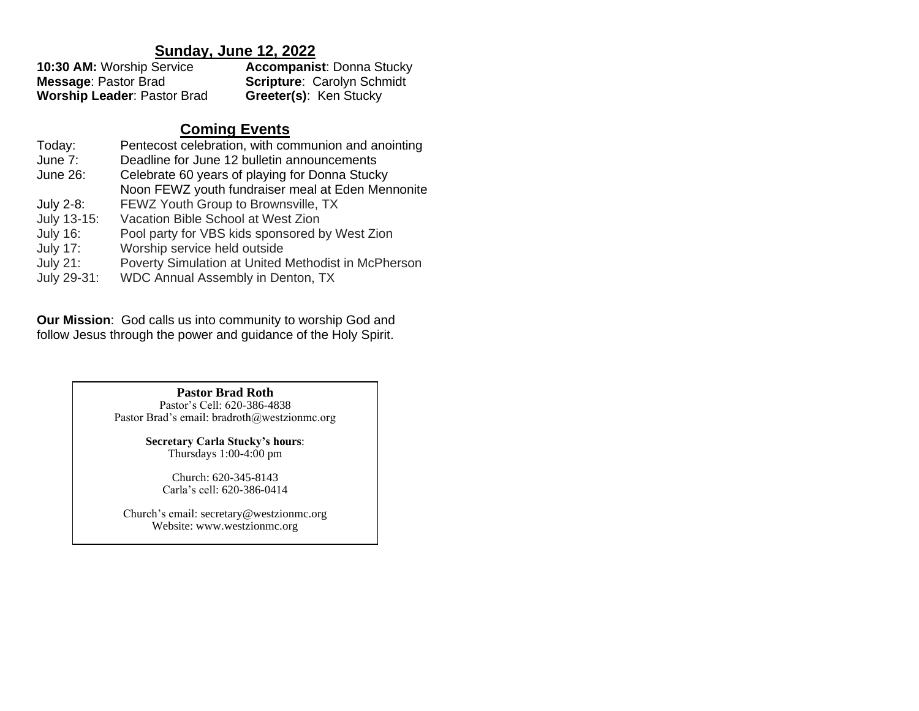## **Sunday, June 12, 2022**

| 10:30 AM: Worship Service          | <b>Accompanist: Donna Stucky</b>  |
|------------------------------------|-----------------------------------|
| <b>Message: Pastor Brad</b>        | <b>Scripture: Carolyn Schmidt</b> |
| <b>Worship Leader: Pastor Brad</b> | <b>Greeter(s): Ken Stucky</b>     |

# **Coming Events**

| Today:          | Pentecost celebration, with communion and anointing |
|-----------------|-----------------------------------------------------|
| June 7:         | Deadline for June 12 bulletin announcements         |
| June 26:        | Celebrate 60 years of playing for Donna Stucky      |
|                 | Noon FEWZ youth fundraiser meal at Eden Mennonite   |
| July 2-8:       | FEWZ Youth Group to Brownsville, TX                 |
| July 13-15:     | Vacation Bible School at West Zion                  |
| <b>July 16:</b> | Pool party for VBS kids sponsored by West Zion      |
| <b>July 17:</b> | Worship service held outside                        |
| <b>July 21:</b> | Poverty Simulation at United Methodist in McPherson |
| July 29-31:     | WDC Annual Assembly in Denton, TX                   |

**Our Mission**: God calls us into community to worship God and follow Jesus through the power and guidance of the Holy Spirit.

> **Pastor Brad Roth** Pastor's Cell: 620-386-4838 Pastor Brad's email: bradroth@westzionmc.org

> > **Secretary Carla Stucky's hours**: Thursdays 1:00-4:00 pm

Church: 620-345-8143 Carla's cell: 620-386-0414

Church's email: secretary@westzionmc.org Website: www.westzionmc.org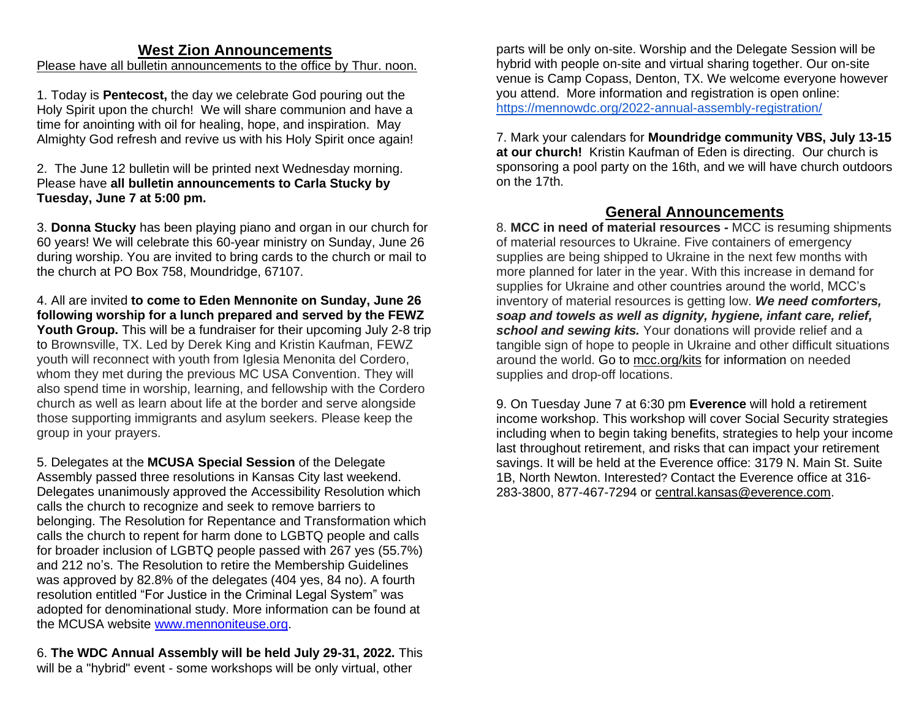## **West Zion Announcements**

## Please have all bulletin announcements to the office by Thur. noon.

1. Today is **Pentecost,** the day we celebrate God pouring out the Holy Spirit upon the church! We will share communion and have a time for anointing with oil for healing, hope, and inspiration. May Almighty God refresh and revive us with his Holy Spirit once again!

2. The June 12 bulletin will be printed next Wednesday morning. Please have **all bulletin announcements to Carla Stucky by Tuesday, June 7 at 5:00 pm.**

3. **Donna Stucky** has been playing piano and organ in our church for 60 years! We will celebrate this 60-year ministry on Sunday, June 26 during worship. You are invited to bring cards to the church or mail to the church at PO Box 758, Moundridge, 67107.

4. All are invited **to come to Eden Mennonite on Sunday, June 26 following worship for a lunch prepared and served by the FEWZ Youth Group.** This will be a fundraiser for their upcoming July 2-8 trip to Brownsville, TX. Led by Derek King and Kristin Kaufman, FEWZ youth will reconnect with youth from Iglesia Menonita del Cordero, whom they met during the previous MC USA Convention. They will also spend time in worship, learning, and fellowship with the Cordero church as well as learn about life at the border and serve alongside those supporting immigrants and asylum seekers. Please keep the group in your prayers.

5. Delegates at the **MCUSA Special Session** of the Delegate Assembly passed three resolutions in Kansas City last weekend. Delegates unanimously approved the Accessibility Resolution which calls the church to recognize and seek to remove barriers to belonging. The Resolution for Repentance and Transformation which calls the church to repent for harm done to LGBTQ people and calls for broader inclusion of LGBTQ people passed with 267 yes (55.7%) and 212 no's. The Resolution to retire the Membership Guidelines was approved by 82.8% of the delegates (404 yes, 84 no). A fourth resolution entitled "For Justice in the Criminal Legal System" was adopted for denominational study. More information can be found at the MCUSA website [www.mennoniteuse.org.](http://www.mennoniteuse.org/)

6. **The WDC Annual Assembly will be held July 29-31, 2022.** This will be a "hybrid" event - some workshops will be only virtual, other

parts will be only on-site. Worship and the Delegate Session will be hybrid with people on-site and virtual sharing together. Our on-site venue is Camp Copass, Denton, TX. We welcome everyone however you attend. More information and registration is open online: <https://mennowdc.org/2022-annual-assembly-registration/>

7. Mark your calendars for **Moundridge community VBS, July 13-15 at our church!** Kristin Kaufman of Eden is directing. Our church is sponsoring a pool party on the 16th, and we will have church outdoors on the 17th.

# **General Announcements**

8. **MCC in need of material resources -** MCC is resuming shipments of material resources to Ukraine. Five containers of emergency supplies are being shipped to Ukraine in the next few months with more planned for later in the year. With this increase in demand for supplies for Ukraine and other countries around the world, MCC's inventory of material resources is getting low. *We need comforters, soap and towels as well as dignity, hygiene, infant care, relief, school and sewing kits.* Your donations will provide relief and a tangible sign of hope to people in Ukraine and other difficult situations around the world. Go to [mcc.org/kits](https://mcc.org/get-involved/kits) for information on needed supplies and drop-off locations.

9. On Tuesday June 7 at 6:30 pm **Everence** will hold a retirement income workshop. This workshop will cover Social Security strategies including when to begin taking benefits, strategies to help your income last throughout retirement, and risks that can impact your retirement savings. It will be held at the Everence office: 3179 N. Main St. Suite 1B, North Newton. Interested? Contact the Everence office at 316- 283-3800, 877-467-7294 or [central.kansas@everence.com.](mailto:central.kansas@everence.com)